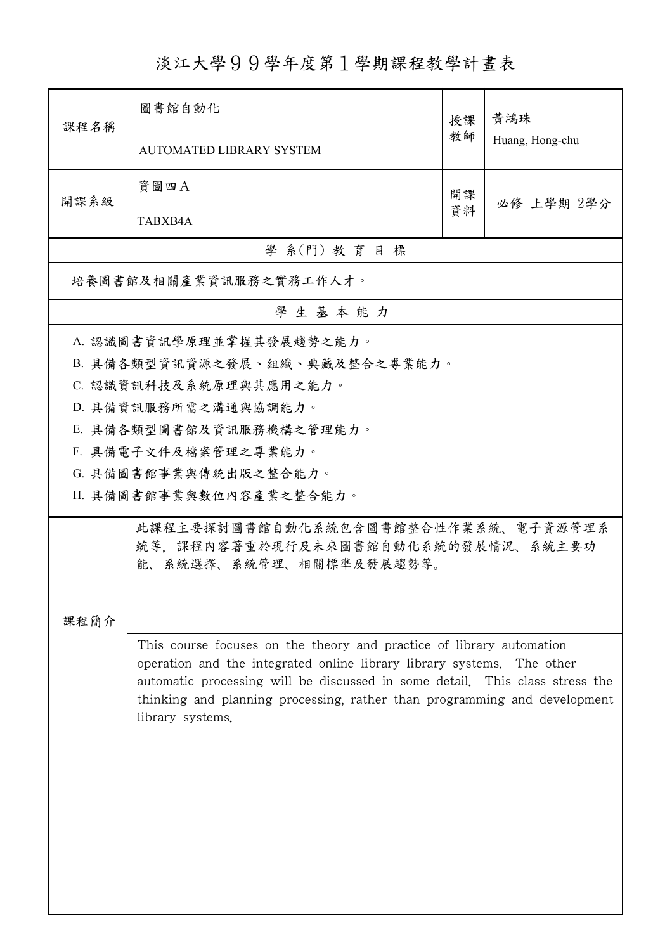淡江大學99學年度第1學期課程教學計畫表

| 課程名稱                   | 圖書館自動化                                                                                                                                                                                                                                                                                                                             | 授課 | 黃鴻珠<br>Huang, Hong-chu |  |  |  |  |  |
|------------------------|------------------------------------------------------------------------------------------------------------------------------------------------------------------------------------------------------------------------------------------------------------------------------------------------------------------------------------|----|------------------------|--|--|--|--|--|
|                        | <b>AUTOMATED LIBRARY SYSTEM</b>                                                                                                                                                                                                                                                                                                    | 教師 |                        |  |  |  |  |  |
| 開課系級                   | 資圖四A                                                                                                                                                                                                                                                                                                                               | 開課 | 必修 上學期 2學分             |  |  |  |  |  |
|                        | TABXB4A                                                                                                                                                                                                                                                                                                                            | 資料 |                        |  |  |  |  |  |
| 學 系(門) 教育目標            |                                                                                                                                                                                                                                                                                                                                    |    |                        |  |  |  |  |  |
| 培養圖書館及相關產業資訊服務之實務工作人才。 |                                                                                                                                                                                                                                                                                                                                    |    |                        |  |  |  |  |  |
| 學生基本能力                 |                                                                                                                                                                                                                                                                                                                                    |    |                        |  |  |  |  |  |
|                        | A. 認識圖書資訊學原理並掌握其發展趨勢之能力。                                                                                                                                                                                                                                                                                                           |    |                        |  |  |  |  |  |
|                        | B. 具備各類型資訊資源之發展、組織、典藏及整合之專業能力。                                                                                                                                                                                                                                                                                                     |    |                        |  |  |  |  |  |
|                        | C. 認識資訊科技及系統原理與其應用之能力。                                                                                                                                                                                                                                                                                                             |    |                        |  |  |  |  |  |
|                        | D. 具備資訊服務所需之溝通與協調能力。                                                                                                                                                                                                                                                                                                               |    |                        |  |  |  |  |  |
|                        | E. 具備各類型圖書館及資訊服務機構之管理能力。                                                                                                                                                                                                                                                                                                           |    |                        |  |  |  |  |  |
|                        | F. 具備電子文件及檔案管理之專業能力。                                                                                                                                                                                                                                                                                                               |    |                        |  |  |  |  |  |
|                        | G. 具備圖書館事業與傳統出版之整合能力。                                                                                                                                                                                                                                                                                                              |    |                        |  |  |  |  |  |
|                        | H. 具備圖書館事業與數位內容產業之整合能力。                                                                                                                                                                                                                                                                                                            |    |                        |  |  |  |  |  |
| 課程簡介                   | 此課程主要探討圖書館自動化系統包含圖書館整合性作業系統、電子資源管理系<br>統等,課程內容著重於現行及未來圖書館自動化系統的發展情況、系統主要功<br>能、系統選擇、系統管理、相關標準及發展趨勢等。                                                                                                                                                                                                                               |    |                        |  |  |  |  |  |
|                        | This course focuses on the theory and practice of library automation<br>operation and the integrated online library library systems.<br>The other<br>automatic processing will be discussed in some detail. This class stress the<br>thinking and planning processing, rather than programming and development<br>library systems. |    |                        |  |  |  |  |  |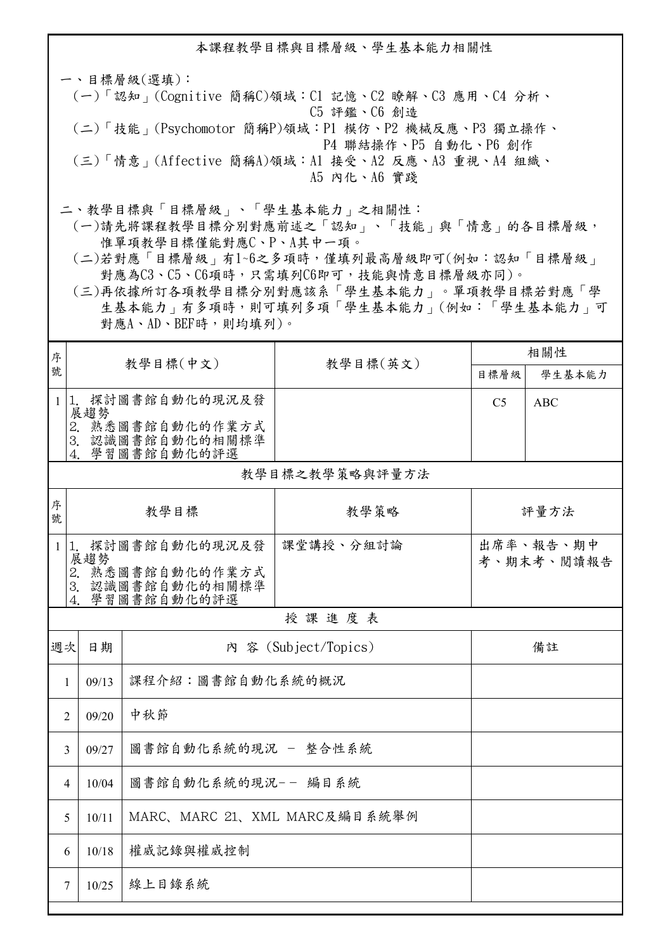本課程教學目標與目標層級、學生基本能力相關性

一、目標層級(選填): (一)「認知」(Cognitive 簡稱C)領域:C1 記憶、C2 瞭解、C3 應用、C4 分析、 C5 評鑑、C6 創造 (二)「技能」(Psychomotor 簡稱P)領域:P1 模仿、P2 機械反應、P3 獨立操作、 P4 聯結操作、P5 自動化、P6 創作 (三)「情意」(Affective 簡稱A)領域:A1 接受、A2 反應、A3 重視、A4 組織、 A5 內化、A6 實踐

二、教學目標與「目標層級」、「學生基本能力」之相關性:

 (一)請先將課程教學目標分別對應前述之「認知」、「技能」與「情意」的各目標層級, 惟單項教學目標僅能對應C、P、A其中一項。

 (二)若對應「目標層級」有1~6之多項時,僅填列最高層級即可(例如:認知「目標層級」 對應為C3、C5、C6項時,只需填列C6即可,技能與情意目標層級亦同)。

 (三)再依據所訂各項教學目標分別對應該系「學生基本能力」。單項教學目標若對應「學 生基本能力」有多項時,則可填列多項「學生基本能力」(例如:「學生基本能力」可 對應A、AD、BEF時,則均填列)。

| 序      | 教學目標(中文)                  |                                                        | 教學目標(英文)             | 相關性                     |            |  |  |  |  |
|--------|---------------------------|--------------------------------------------------------|----------------------|-------------------------|------------|--|--|--|--|
| 號      |                           |                                                        |                      | 目標層級                    | 學生基本能力     |  |  |  |  |
|        | $1 1$ .<br>展趨勢            | 探討圖書館自動化的現況及發                                          |                      | C <sub>5</sub>          | <b>ABC</b> |  |  |  |  |
|        |                           | 2. 熟悉圖書館自動化的作業方式<br>3. 認識圖書館自動化的相關標準<br>4. 學習圖書館自動化的評選 |                      |                         |            |  |  |  |  |
|        | 教學目標之教學策略與評量方法            |                                                        |                      |                         |            |  |  |  |  |
| 序<br>號 |                           | 教學目標                                                   | 教學策略                 |                         | 評量方法       |  |  |  |  |
|        | 展趨勢                       | 1 1. 探討圖書館自動化的現況及發                                     | 課堂講授、分組討論            | 出席率、報告、期中<br>考、期末考、閲讀報告 |            |  |  |  |  |
|        | 4                         | 2. 熟悉圖書館自動化的作業方式<br>3. 認識圖書館自動化的相關標準<br>學習圖書館自動化的評選    |                      |                         |            |  |  |  |  |
|        | 授課進度表                     |                                                        |                      |                         |            |  |  |  |  |
| 週次     | 日期                        |                                                        | 内 容 (Subject/Topics) |                         | 備註         |  |  |  |  |
| 1      | 課程介紹:圖書館自動化系統的概況<br>09/13 |                                                        |                      |                         |            |  |  |  |  |
|        | 09/20<br>$\overline{2}$   | 中秋節                                                    |                      |                         |            |  |  |  |  |
|        | 09/27<br>3                | 圖書館自動化系統的現況 - 整合性系統                                    |                      |                         |            |  |  |  |  |
|        | 10/04<br>$\overline{4}$   | 圖書館自動化系統的現況-- 編目系統                                     |                      |                         |            |  |  |  |  |
|        | 10/11<br>5                | MARC、MARC 21、XML MARC及編目系統舉例                           |                      |                         |            |  |  |  |  |
|        | 10/18<br>6                | 權威記錄與權威控制                                              |                      |                         |            |  |  |  |  |
|        | 10/25<br>7                | 線上目錄系統                                                 |                      |                         |            |  |  |  |  |
|        |                           |                                                        |                      |                         |            |  |  |  |  |